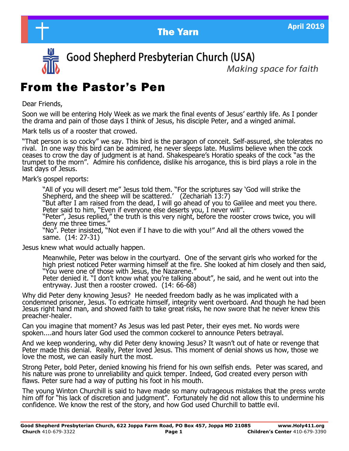



Good Shepherd Presbyterian Church (USA)

Makina space for faith

# From the Pastor's Pen

Dear Friends,

Soon we will be entering Holy Week as we mark the final events of Jesus' earthly life. As I ponder the drama and pain of those days I think of Jesus, his disciple Peter, and a winged animal.

Mark tells us of a rooster that crowed.

"That person is so cocky" we say. This bird is the paragon of conceit. Self-assured, she tolerates no rival. In one way this bird can be admired, he never sleeps late. Muslims believe when the cock ceases to crow the day of judgment is at hand. Shakespeare's Horatio speaks of the cock "as the trumpet to the morn". Admire his confidence, dislike his arrogance, this is bird plays a role in the last days of Jesus.

Mark's gospel reports:

"All of you will desert me" Jesus told them. "For the scriptures say 'God will strike the Shepherd, and the sheep will be scattered.' (Zechariah 13:7)

"But after I am raised from the dead, I will go ahead of you to Galilee and meet you there. Peter said to him, "Even if everyone else deserts you, I never will".

"Peter", Jesus replied," the truth is this very night, before the rooster crows twice, you will deny me three times."

"No". Peter insisted, "Not even if I have to die with you!" And all the others vowed the same. (14: 27-31)

Jesus knew what would actually happen.

Meanwhile, Peter was below in the courtyard. One of the servant girls who worked for the high priest noticed Peter warming himself at the fire. She looked at him closely and then said, "You were one of those with Jesus, the Nazarene."

Peter denied it. "I don't know what you're talking about", he said, and he went out into the entryway. Just then a rooster crowed. (14: 66-68)

Why did Peter deny knowing Jesus? He needed freedom badly as he was implicated with a condemned prisoner, Jesus. To extricate himself, integrity went overboard. And though he had been Jesus right hand man, and showed faith to take great risks, he now swore that he never knew this preacher-healer.

Can you imagine that moment? As Jesus was led past Peter, their eyes met. No words were spoken....and hours later God used the common cockerel to announce Peters betrayal.

And we keep wondering, why did Peter deny knowing Jesus? It wasn't out of hate or revenge that Peter made this denial. Really, Peter loved Jesus. This moment of denial shows us how, those we love the most, we can easily hurt the most.

Strong Peter, bold Peter, denied knowing his friend for his own selfish ends. Peter was scared, and his nature was prone to unreliability and quick temper. Indeed, God created every person with flaws. Peter sure had a way of putting his foot in his mouth.

The young Winton Churchill is said to have made so many outrageous mistakes that the press wrote him off for "his lack of discretion and judgment". Fortunately he did not allow this to undermine his confidence. We know the rest of the story, and how God used Churchill to battle evil.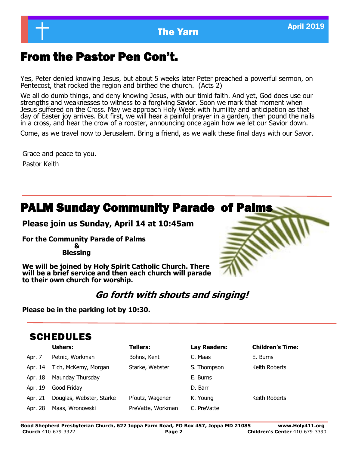

# From the Pastor Pen Con't.

Yes, Peter denied knowing Jesus, but about 5 weeks later Peter preached a powerful sermon, on Pentecost, that rocked the region and birthed the church. (Acts 2)

We all do dumb things, and deny knowing Jesus, with our timid faith. And yet, God does use our strengths and weaknesses to witness to a forgiving Savior. Soon we mark that moment when Jesus suffered on the Cross. May we approach Holy Week with humility and anticipation as that day of Easter joy arrives. But first, we will hear a painful prayer in a garden, then pound the nails in a cross, and hear the crow of a rooster, announcing once again how we let our Savior down.

Come, as we travel now to Jerusalem. Bring a friend, as we walk these final days with our Savor.

Grace and peace to you.

Pastor Keith

# PALM Sunday Community Parade of Palms

### **Please join us Sunday, April 14 at 10:45am**

**For the Community Parade of Palms** 

 **& Blessing**

**We will be joined by Holy Spirit Catholic Church. There will be a brief service and then each church will parade to their own church for worship.**

# **Go forth with shouts and singing!**

**Please be in the parking lot by 10:30.**

# SCHEDULES

|         | <b>Ushers:</b>           | <b>Tellers:</b>   | Lay Readers: | <b>Children's Time:</b> |
|---------|--------------------------|-------------------|--------------|-------------------------|
| Apr. 7  | Petnic, Workman          | Bohns, Kent       | C. Maas      | E. Burns                |
| Apr. 14 | Tich, McKemy, Morgan     | Starke, Webster   | S. Thompson  | Keith Roberts           |
| Apr. 18 | Maunday Thursday         |                   | E. Burns     |                         |
| Apr. 19 | Good Friday              |                   | D. Barr      |                         |
| Apr. 21 | Douglas, Webster, Starke | Pfoutz, Wagener   | K. Young     | Keith Roberts           |
| Apr. 28 | Maas, Wronowski          | PreVatte, Workman | C. PreVatte  |                         |

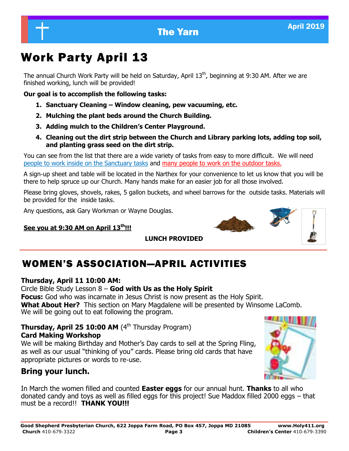# The Yarn April 2019

# Work Party April 13

The annual Church Work Party will be held on Saturday, April 13<sup>th</sup>, beginning at 9:30 AM. After we are finished working, lunch will be provided!

**Our goal is to accomplish the following tasks:**

- **1. Sanctuary Cleaning – Window cleaning, pew vacuuming, etc.**
- **2. Mulching the plant beds around the Church Building.**
- **3. Adding mulch to the Children's Center Playground.**
- **4. Cleaning out the dirt strip between the Church and Library parking lots, adding top soil, and planting grass seed on the dirt strip.**

You can see from the list that there are a wide variety of tasks from easy to more difficult. We will need people to work inside on the Sanctuary tasks and many people to work on the outdoor tasks.

A sign-up sheet and table will be located in the Narthex for your convenience to let us know that you will be there to help spruce up our Church. Many hands make for an easier job for all those involved.

Please bring gloves, shovels, rakes, 5 gallon buckets, and wheel barrows for the outside tasks. Materials will be provided for the inside tasks.

Any questions, ask Gary Workman or Wayne Douglas.

### **See you at 9:30 AM on April 13th!!!**

 **LUNCH PROVIDED**

# WOMEN'S ASSOCIATION—APRIL ACTIVITIES

### **Thursday, April 11 10:00 AM:**

### Circle Bible Study Lesson 8 – **God with Us as the Holy Spirit**

**Focus:** God who was incarnate in Jesus Christ is now present as the Holy Spirit. **What About Her?** This section on Mary Magdalene will be presented by Winsome LaComb. We will be going out to eat following the program.

#### **Thursday, April 25 10:00 AM** (4<sup>th</sup> Thursday Program) **Card Making Workshop**

We will be making Birthday and Mother's Day cards to sell at the Spring Fling, as well as our usual "thinking of you" cards. Please bring old cards that have appropriate pictures or words to re-use.

# **Bring your lunch.**

In March the women filled and counted **Easter eggs** for our annual hunt. **Thanks** to all who donated candy and toys as well as filled eggs for this project! Sue Maddox filled 2000 eggs – that must be a record!! **THANK YOU!!!**



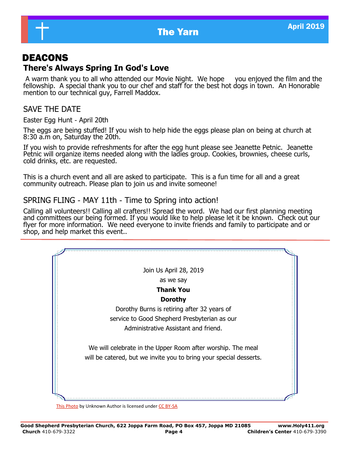

# DEACONS

# **There's Always Spring In God's Love**

A warm thank you to all who attended our Movie Night. We hope you enjoyed the film and the fellowship. A special thank you to our chef and staff for the best hot dogs in town. An Honorable mention to our technical guy, Farrell Maddox.

# SAVE THE DATE

Easter Egg Hunt - April 20th

The eggs are being stuffed! If you wish to help hide the eggs please plan on being at church at 8:30 a.m on, Saturday the 20th.

If you wish to provide refreshments for after the egg hunt please see Jeanette Petnic. Jeanette Petnic will organize items needed along with the ladies group. Cookies, brownies, cheese curls, cold drinks, etc. are requested.

This is a church event and all are asked to participate. This is a fun time for all and a great community outreach. Please plan to join us and invite someone!

### SPRING FLING - MAY 11th - Time to Spring into action!

Calling all volunteers!! Calling all crafters!! Spread the word. We had our first planning meeting and committees our being formed. If you would like to help please let it be known. Check out our flyer for more information. We need everyone to invite friends and family to participate and or shop, and help market this event..



[This Photo](http://www.freebordersandclipart.com/BordersPages/CornerInlayBorders.htm) by Unknown Author is licensed under [CC BY](https://creativecommons.org/licenses/by-sa/3.0/)-SA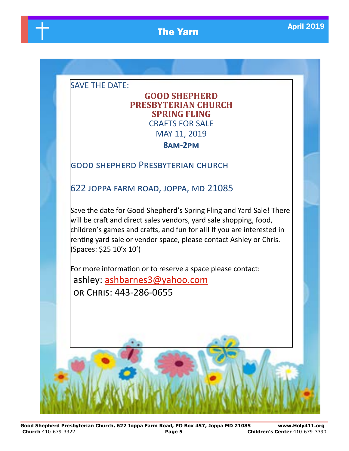# **The Yarn April 2019**

SAVE THE DATE:

# **GOOD SHEPHERD PRESBYTERIAN CHURCH SPRING FLING** CRAFTS FOR SALE MAY 11, 2019

### **8am-2pm**

### good shepherd Presbyterian church

622 joppa farm road, joppa, md 21085

Save the date for Good Shepherd's Spring Fling and Yard Sale! There will be craft and direct sales vendors, yard sale shopping, food, children's games and crafts, and fun for all! If you are interested in renting yard sale or vendor space, please contact Ashley or Chris. (Spaces: \$25 10'x 10')

For more information or to reserve a space please contact: ashley: [ashbarnes3@yahoo.com](mailto:ashbarnes3@yahoo.com) or Chris: 443-286-0655

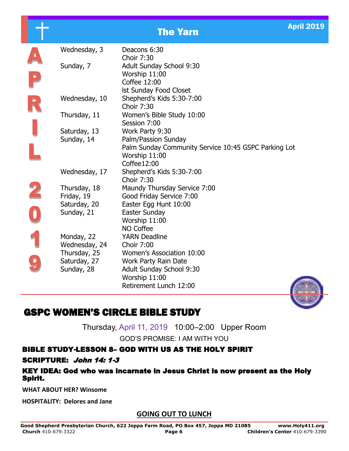### Wednesday, 3 Deacons 6:30 Choir 7:30 Sunday, 7 Adult Sunday School 9:30 Worship 11:00 Coffee 12:00 lst Sunday Food Closet Wednesday, 10 Shepherd's Kids 5:30-7:00 Choir 7:30 Thursday, 11 Women's Bible Study 10:00 Session 7:00 Saturday, 13 Work Party 9:30 Sunday, 14 Palm/Passion Sunday Palm Sunday Community Service 10:45 GSPC Parking Lot Worship 11:00 Coffee12:00 Wednesday, 17 Shepherd's Kids 5:30-7:00 Choir 7:30 Thursday, 18 Maundy Thursday Service 7:00 Friday, 19 Good Friday Service 7:00 Saturday, 20 Easter Egg Hunt 10:00 Sunday, 21 Easter Sunday Worship 11:00 NO Coffee Monday, 22 YARN Deadline Wednesday, 24 Choir 7:00 Thursday, 25 Women's Association 10:00 Saturday, 27 Work Party Rain Date Sunday, 28 Adult Sunday School 9:30 Worship 11:00 Retirement Lunch 12:00



# GSPC WOMEN'S CIRCLE BIBLE STUDY

Thursday, April 11, 2019 10:00–2:00 Upper Room

GOD'S PROMISE: I AM WITH YOU

# BIBLE STUDY-LESSON 8– GOD WITH US AS THE HOLY SPIRIT

### SCRIPTURE: John 14: 1-3

#### KEY IDEA: God who was incarnate in Jesus Christ is now present as the Holy Spirit.

**WHAT ABOUT HER? Winsome**

**HOSPITALITY: Delores and Jane**

### **GOING OUT TO LUNCH**